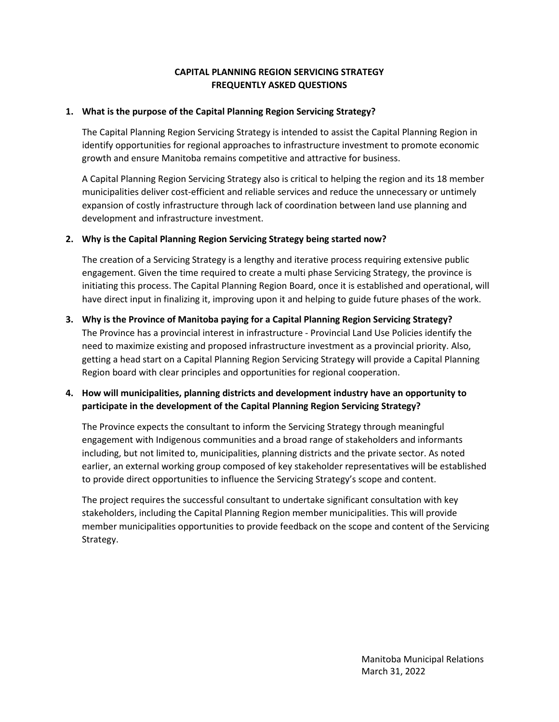#### **CAPITAL PLANNING REGION SERVICING STRATEGY FREQUENTLY ASKED QUESTIONS**

#### **1. What is the purpose of the Capital Planning Region Servicing Strategy?**

The Capital Planning Region Servicing Strategy is intended to assist the Capital Planning Region in identify opportunities for regional approaches to infrastructure investment to promote economic growth and ensure Manitoba remains competitive and attractive for business.

A Capital Planning Region Servicing Strategy also is critical to helping the region and its 18 member municipalities deliver cost-efficient and reliable services and reduce the unnecessary or untimely expansion of costly infrastructure through lack of coordination between land use planning and development and infrastructure investment.

#### **2. Why is the Capital Planning Region Servicing Strategy being started now?**

The creation of a Servicing Strategy is a lengthy and iterative process requiring extensive public engagement. Given the time required to create a multi phase Servicing Strategy, the province is initiating this process. The Capital Planning Region Board, once it is established and operational, will have direct input in finalizing it, improving upon it and helping to guide future phases of the work.

# **3. Why is the Province of Manitoba paying for a Capital Planning Region Servicing Strategy?**

The Province has a provincial interest in infrastructure - Provincial Land Use Policies identify the need to maximize existing and proposed infrastructure investment as a provincial priority. Also, getting a head start on a Capital Planning Region Servicing Strategy will provide a Capital Planning Region board with clear principles and opportunities for regional cooperation.

### **4. How will municipalities, planning districts and development industry have an opportunity to participate in the development of the Capital Planning Region Servicing Strategy?**

The Province expects the consultant to inform the Servicing Strategy through meaningful engagement with Indigenous communities and a broad range of stakeholders and informants including, but not limited to, municipalities, planning districts and the private sector. As noted earlier, an external working group composed of key stakeholder representatives will be established to provide direct opportunities to influence the Servicing Strategy's scope and content.

The project requires the successful consultant to undertake significant consultation with key stakeholders, including the Capital Planning Region member municipalities. This will provide member municipalities opportunities to provide feedback on the scope and content of the Servicing Strategy.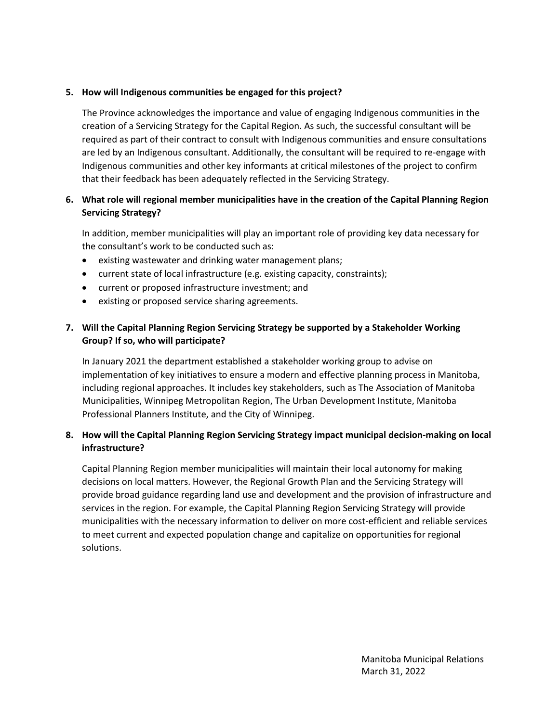#### **5. How will Indigenous communities be engaged for this project?**

The Province acknowledges the importance and value of engaging Indigenous communities in the creation of a Servicing Strategy for the Capital Region. As such, the successful consultant will be required as part of their contract to consult with Indigenous communities and ensure consultations are led by an Indigenous consultant. Additionally, the consultant will be required to re-engage with Indigenous communities and other key informants at critical milestones of the project to confirm that their feedback has been adequately reflected in the Servicing Strategy.

### **6. What role will regional member municipalities have in the creation of the Capital Planning Region Servicing Strategy?**

In addition, member municipalities will play an important role of providing key data necessary for the consultant's work to be conducted such as:

- existing wastewater and drinking water management plans;
- current state of local infrastructure (e.g. existing capacity, constraints);
- current or proposed infrastructure investment; and
- existing or proposed service sharing agreements.

## **7. Will the Capital Planning Region Servicing Strategy be supported by a Stakeholder Working Group? If so, who will participate?**

In January 2021 the department established a stakeholder working group to advise on implementation of key initiatives to ensure a modern and effective planning process in Manitoba, including regional approaches. It includes key stakeholders, such as The Association of Manitoba Municipalities, Winnipeg Metropolitan Region, The Urban Development Institute, Manitoba Professional Planners Institute, and the City of Winnipeg.

#### **8. How will the Capital Planning Region Servicing Strategy impact municipal decision-making on local infrastructure?**

Capital Planning Region member municipalities will maintain their local autonomy for making decisions on local matters. However, the Regional Growth Plan and the Servicing Strategy will provide broad guidance regarding land use and development and the provision of infrastructure and services in the region. For example, the Capital Planning Region Servicing Strategy will provide municipalities with the necessary information to deliver on more cost-efficient and reliable services to meet current and expected population change and capitalize on opportunities for regional solutions.